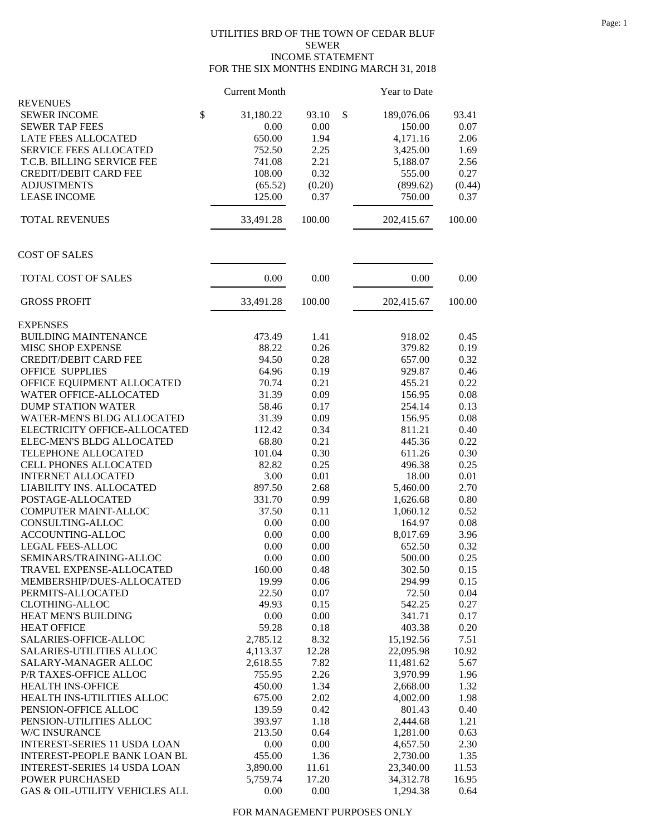## UTILITIES BRD OF THE TOWN OF CEDAR BLUF SEWER INCOME STATEMENT FOR THE SIX MONTHS ENDING MARCH 31, 2018

|                                             | <b>Current Month</b> |              | Year to Date       |              |
|---------------------------------------------|----------------------|--------------|--------------------|--------------|
| <b>REVENUES</b>                             |                      |              |                    |              |
| <b>SEWER INCOME</b>                         | \$<br>31,180.22      | \$<br>93.10  | 189,076.06         | 93.41        |
| <b>SEWER TAP FEES</b>                       | 0.00                 | 0.00         | 150.00             | 0.07         |
| LATE FEES ALLOCATED                         | 650.00               | 1.94         | 4,171.16           | 2.06         |
| <b>SERVICE FEES ALLOCATED</b>               | 752.50               | 2.25         | 3,425.00           | 1.69         |
| T.C.B. BILLING SERVICE FEE                  | 741.08               | 2.21         | 5,188.07           | 2.56         |
| <b>CREDIT/DEBIT CARD FEE</b>                | 108.00               | 0.32         | 555.00             | 0.27         |
| <b>ADJUSTMENTS</b>                          | (65.52)              | (0.20)       | (899.62)           | (0.44)       |
| <b>LEASE INCOME</b>                         | 125.00               | 0.37         | 750.00             | 0.37         |
| TOTAL REVENUES                              | 33,491.28            | 100.00       | 202,415.67         | 100.00       |
| <b>COST OF SALES</b>                        |                      |              |                    |              |
| TOTAL COST OF SALES                         | 0.00                 | 0.00         | 0.00               | 0.00         |
| <b>GROSS PROFIT</b>                         | 33,491.28            | 100.00       | 202,415.67         | 100.00       |
| <b>EXPENSES</b>                             |                      |              |                    |              |
| <b>BUILDING MAINTENANCE</b>                 | 473.49               | 1.41         | 918.02             | 0.45         |
| MISC SHOP EXPENSE                           | 88.22                | 0.26         | 379.82             | 0.19         |
| <b>CREDIT/DEBIT CARD FEE</b>                | 94.50                | 0.28         | 657.00             | 0.32         |
| <b>OFFICE SUPPLIES</b>                      | 64.96                | 0.19         | 929.87             | 0.46         |
| OFFICE EQUIPMENT ALLOCATED                  | 70.74                | 0.21         | 455.21             | 0.22         |
| <b>WATER OFFICE-ALLOCATED</b>               | 31.39                | 0.09         | 156.95             | 0.08         |
| <b>DUMP STATION WATER</b>                   | 58.46                | 0.17         | 254.14             | 0.13         |
| WATER-MEN'S BLDG ALLOCATED                  | 31.39                | 0.09         | 156.95             | 0.08         |
| ELECTRICITY OFFICE-ALLOCATED                | 112.42               | 0.34         | 811.21             | 0.40         |
| ELEC-MEN'S BLDG ALLOCATED                   | 68.80                | 0.21         | 445.36             | 0.22         |
| TELEPHONE ALLOCATED                         | 101.04               | 0.30         | 611.26             | 0.30         |
| <b>CELL PHONES ALLOCATED</b>                | 82.82                | 0.25         | 496.38             | 0.25         |
| <b>INTERNET ALLOCATED</b>                   | 3.00                 | 0.01         | 18.00              | 0.01         |
| LIABILITY INS. ALLOCATED                    | 897.50               | 2.68         | 5,460.00           | 2.70         |
| POSTAGE-ALLOCATED                           | 331.70               | 0.99         | 1,626.68           | 0.80         |
| COMPUTER MAINT-ALLOC                        | 37.50                | 0.11         | 1,060.12           | 0.52         |
| CONSULTING-ALLOC                            | 0.00                 | 0.00         | 164.97             | 0.08         |
| ACCOUNTING-ALLOC<br><b>LEGAL FEES-ALLOC</b> | 0.00<br>0.00         | 0.00<br>0.00 | 8,017.69<br>652.50 | 3.96<br>0.32 |
| SEMINARS/TRAINING-ALLOC                     | $0.00\,$             | $0.00\,$     | 500.00             | 0.25         |
| TRAVEL EXPENSE-ALLOCATED                    |                      |              |                    |              |
| MEMBERSHIP/DUES-ALLOCATED                   | 160.00<br>19.99      | 0.48<br>0.06 | 302.50<br>294.99   | 0.15<br>0.15 |
| PERMITS-ALLOCATED                           | 22.50                | 0.07         | 72.50              | 0.04         |
| CLOTHING-ALLOC                              | 49.93                | 0.15         | 542.25             | 0.27         |
| HEAT MEN'S BUILDING                         | 0.00                 | 0.00         | 341.71             | 0.17         |
| <b>HEAT OFFICE</b>                          | 59.28                | 0.18         | 403.38             | 0.20         |
| SALARIES-OFFICE-ALLOC                       | 2,785.12             | 8.32         | 15,192.56          | 7.51         |
| SALARIES-UTILITIES ALLOC                    | 4,113.37             | 12.28        | 22,095.98          | 10.92        |
| SALARY-MANAGER ALLOC                        | 2,618.55             | 7.82         | 11,481.62          | 5.67         |
| P/R TAXES-OFFICE ALLOC                      | 755.95               | 2.26         | 3,970.99           | 1.96         |
| HEALTH INS-OFFICE                           | 450.00               | 1.34         | 2,668.00           | 1.32         |
| HEALTH INS-UTILITIES ALLOC                  | 675.00               | 2.02         | 4,002.00           | 1.98         |
| PENSION-OFFICE ALLOC                        | 139.59               | 0.42         | 801.43             | 0.40         |
| PENSION-UTILITIES ALLOC                     | 393.97               | 1.18         | 2,444.68           | 1.21         |
| W/C INSURANCE                               | 213.50               | 0.64         | 1,281.00           | 0.63         |
| <b>INTEREST-SERIES 11 USDA LOAN</b>         | 0.00                 | 0.00         | 4,657.50           | 2.30         |
| <b>INTEREST-PEOPLE BANK LOAN BL</b>         | 455.00               | 1.36         | 2,730.00           | 1.35         |
| <b>INTEREST-SERIES 14 USDA LOAN</b>         | 3,890.00             | 11.61        | 23,340.00          | 11.53        |
| POWER PURCHASED                             | 5,759.74             | 17.20        | 34,312.78          | 16.95        |
| GAS & OIL-UTILITY VEHICLES ALL              | 0.00                 | 0.00         | 1,294.38           | 0.64         |

FOR MANAGEMENT PURPOSES ONLY